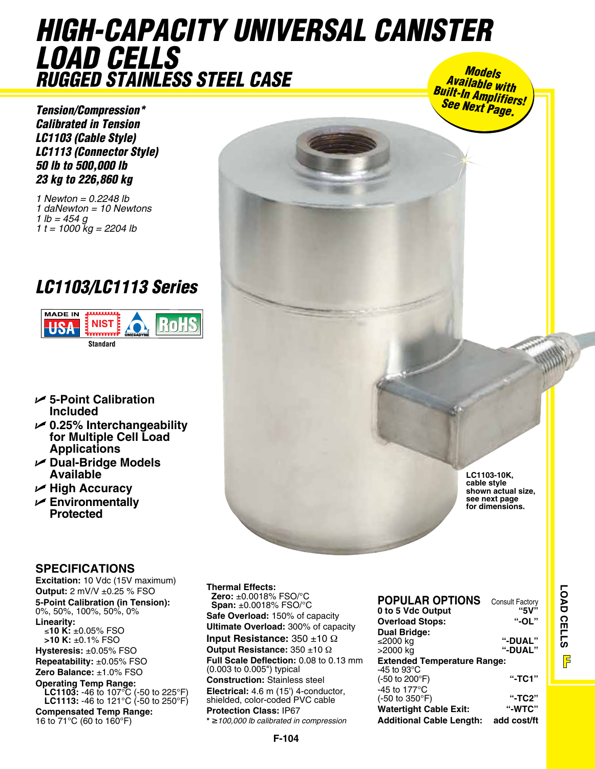## *high-capacity universal canister load cells rugged Stainless Steel case Models Available with Built-In Amplifiers!*

*Tension/Compression\* Calibrated in Tension LC1103 (Cable Style) LC1113 (Connector Style) 50 lb to 500,000 lb 23 kg to 226,860 kg*

*1 Newton = 0.2248 lb 1 daNewton = 10 Newtons 1 lb = 454 g 1 t = 1000 kg = 2204 lb*

# *LC1103/LC1113 Series*



- U **5-Point Calibration Included**
- U **0.25% Interchangeability for Multiple Cell Load Applications**
- U **Dual-Bridge Models Available**
- U **High Accuracy**
- U **Environmentally Protected**

### **Specifications**

**Excitation:** 10 Vdc (15V maximum) **Output:** 2 mV/V ±0.25 % FSO **5-Point Calibration (in Tension):** 0%, 50%, 100%, 50%, 0% **Linearity:** ≤**10 K:** ±0.05% FSO **>10 K:** ±0.1% FSO **Hysteresis:** ±0.05% FSO **Repeatability:** ±0.05% FSO **Zero Balance:** ±1.0% FSO **Operating Temp Range: LC1103:** -46 to 107°C (-50 to 225°F) **LC1113:** -46 to 121°C (-50 to 250°F) **Compensated Temp Range:** 16 to 71°C (60 to 160°F)

**Thermal Effects: Zero:** ±0.0018% FSO/°C **Span:** ±0.0018% FSO/°C **Safe Overload:** 150% of capacity **Ultimate Overload:** 300% of capacity **Input Resistance:** 350 ±10 Ω **Output Resistance:** 350 ±10 Ω **Full Scale Deflection:** 0.08 to 0.13 mm (0.003 to 0.005") typical **Construction:** Stainless steel **Electrical:** 4.6 m (15') 4-conductor, shielded, color-coded PVC cable **Protection Class:** IP67 **\*** ≥*100,000 lb calibrated in compression*

| <b>POPULAR OPTIONS</b>             | <b>Consult Factory</b> |  |  |
|------------------------------------|------------------------|--|--|
| 0 to 5 Vdc Output                  | "5V"                   |  |  |
| <b>Overload Stops:</b>             | $"$ -OL"               |  |  |
| <b>Dual Bridge:</b>                |                        |  |  |
| ≤2000 kg                           | <b>"-DUAL"</b>         |  |  |
| >2000 kg                           | <b>"-DUAL"</b>         |  |  |
| <b>Extended Temperature Range:</b> |                        |  |  |
| -45 to 93 $^{\circ}$ C             |                        |  |  |
| (-50 to 200°F)                     | "-TC1"                 |  |  |
| -45 to 177 $\mathrm{^{\circ}C}$    |                        |  |  |
| (-50 to 350°F)                     | "-TC2"                 |  |  |
| <b>Watertight Cable Exit:</b>      | "-WTC"                 |  |  |
| <b>Additional Cable Length:</b>    | add cost/ft            |  |  |

**LC1103-10K, cable style shown actual size, see next page for dimensions.**

*See Next Page.*